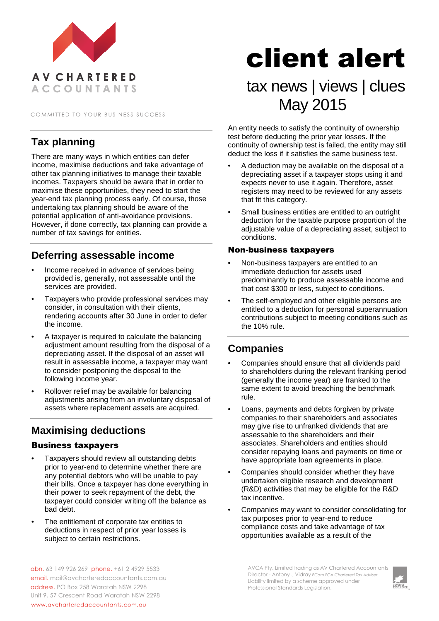

COMMITTED TO YOUR BUSINESS SUCCESS

### **Tax planning**

There are many ways in which entities can defer income, maximise deductions and take advantage of other tax planning initiatives to manage their taxable incomes. Taxpayers should be aware that in order to maximise these opportunities, they need to start the year-end tax planning process early. Of course, those undertaking tax planning should be aware of the potential application of anti-avoidance provisions. However, if done correctly, tax planning can provide a number of tax savings for entities.

#### **Deferring assessable income**

- Income received in advance of services being provided is, generally, not assessable until the services are provided.
- Taxpayers who provide professional services may consider, in consultation with their clients, rendering accounts after 30 June in order to defer the income.
- A taxpayer is required to calculate the balancing adjustment amount resulting from the disposal of a depreciating asset. If the disposal of an asset will result in assessable income, a taxpayer may want to consider postponing the disposal to the following income year.
- Rollover relief may be available for balancing adjustments arising from an involuntary disposal of assets where replacement assets are acquired.

## **Maximising deductions**

#### Business taxpayers

- Taxpayers should review all outstanding debts prior to year-end to determine whether there are any potential debtors who will be unable to pay their bills. Once a taxpayer has done everything in their power to seek repayment of the debt, the taxpayer could consider writing off the balance as bad debt.
- The entitlement of corporate tax entities to deductions in respect of prior year losses is subject to certain restrictions.

# client alert

# tax news | views | clues May 2015

An entity needs to satisfy the continuity of ownership test before deducting the prior year losses. If the continuity of ownership test is failed, the entity may still deduct the loss if it satisfies the same business test.

- A deduction may be available on the disposal of a depreciating asset if a taxpayer stops using it and expects never to use it again. Therefore, asset registers may need to be reviewed for any assets that fit this category.
- Small business entities are entitled to an outright deduction for the taxable purpose proportion of the adjustable value of a depreciating asset, subject to conditions.

#### Non-business taxpayers

- Non-business taxpayers are entitled to an immediate deduction for assets used predominantly to produce assessable income and that cost \$300 or less, subject to conditions.
- The self-employed and other eligible persons are entitled to a deduction for personal superannuation contributions subject to meeting conditions such as the 10% rule.

#### **Companies**

- Companies should ensure that all dividends paid to shareholders during the relevant franking period (generally the income year) are franked to the same extent to avoid breaching the benchmark rule.
- Loans, payments and debts forgiven by private companies to their shareholders and associates may give rise to unfranked dividends that are assessable to the shareholders and their associates. Shareholders and entities should consider repaying loans and payments on time or have appropriate loan agreements in place.
- Companies should consider whether they have undertaken eligible research and development (R&D) activities that may be eligible for the R&D tax incentive.
- Companies may want to consider consolidating for tax purposes prior to year-end to reduce compliance costs and take advantage of tax opportunities available as a result of the

abn. 63 149 926 269 phone. +61 2 4929 5533 email. mail@avcharteredaccountants.com.au address. PO Box 258 Waratah NSW 2298 Unit 9, 57 Crescent Road Waratah NSW 2298 www.avcharteredaccountants.com.au

AVCA Pty. Limited trading as AV Chartered Accountants Director - Antony J Vidray *BCom FCA Chartered Tax Adviser* Liability limited by a scheme approved under Professional Standards Legislation.